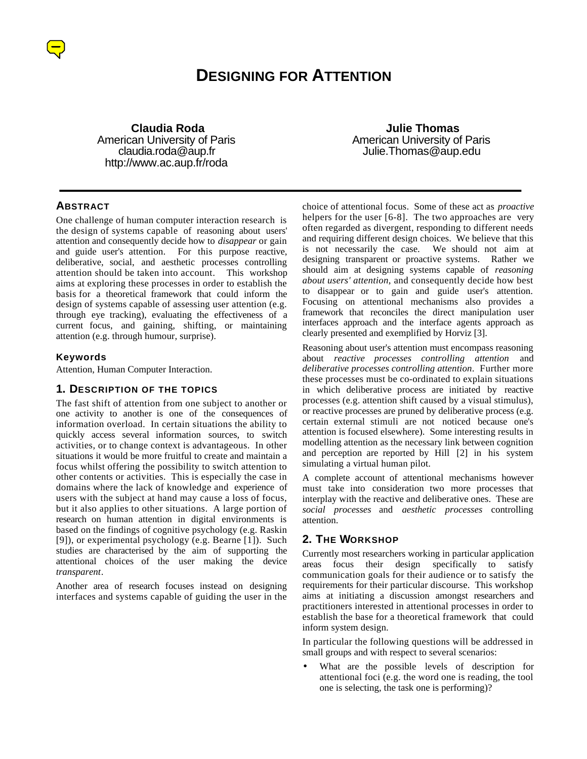

# **DESIGNING FOR ATTENTION**

 **Claudia Roda** American University of Paris claudia.roda@aup.fr http://www.ac.aup.fr/roda

**ABSTRACT**

One challenge of human computer interaction research is the design of systems capable of reasoning about users' attention and consequently decide how to *disappear* or gain and guide user's attention. For this purpose reactive, deliberative, social, and aesthetic processes controlling attention should be taken into account. This workshop aims at exploring these processes in order to establish the basis for a theoretical framework that could inform the design of systems capable of assessing user attention (e.g. through eye tracking), evaluating the effectiveness of a current focus, and gaining, shifting, or maintaining attention (e.g. through humour, surprise).

#### **Keywords**

Attention, Human Computer Interaction.

#### **1. DESCRIPTION OF THE TOPICS**

The fast shift of attention from one subject to another or one activity to another is one of the consequences of information overload. In certain situations the ability to quickly access several information sources, to switch activities, or to change context is advantageous. In other situations it would be more fruitful to create and maintain a focus whilst offering the possibility to switch attention to other contents or activities. This is especially the case in domains where the lack of knowledge and experience of users with the subject at hand may cause a loss of focus, but it also applies to other situations. A large portion of research on human attention in digital environments is based on the findings of cognitive psychology (e.g. Raskin [9]), or experimental psychology (e.g. Bearne [1]). Such studies are characterised by the aim of supporting the attentional choices of the user making the device *transparent*.

Another area of research focuses instead on designing interfaces and systems capable of guiding the user in the

 **Julie Thomas** American University of Paris Julie.Thomas@aup.edu

choice of attentional focus. Some of these act as *proactive* helpers for the user [6-8]. The two approaches are very often regarded as divergent, responding to different needs and requiring different design choices. We believe that this is not necessarily the case. We should not aim at designing transparent or proactive systems. Rather we should aim at designing systems capable of *reasoning about users' attention*, and consequently decide how best to disappear or to gain and guide user's attention. Focusing on attentional mechanisms also provides a framework that reconciles the direct manipulation user interfaces approach and the interface agents approach as clearly presented and exemplified by Horviz [3].

Reasoning about user's attention must encompass reasoning about *reactive processes controlling attention* and *deliberative processes controlling attention*. Further more these processes must be co-ordinated to explain situations in which deliberative process are initiated by reactive processes (e.g. attention shift caused by a visual stimulus), or reactive processes are pruned by deliberative process (e.g. certain external stimuli are not noticed because one's attention is focused elsewhere). Some interesting results in modelling attention as the necessary link between cognition and perception are reported by Hill [2] in his system simulating a virtual human pilot.

A complete account of attentional mechanisms however must take into consideration two more processes that interplay with the reactive and deliberative ones. These are *social processes* and *aesthetic processes* controlling attention.

### **2. THE WORKSHOP**

Currently most researchers working in particular application areas focus their design specifically to satisfy communication goals for their audience or to satisfy the requirements for their particular discourse. This workshop aims at initiating a discussion amongst researchers and practitioners interested in attentional processes in order to establish the base for a theoretical framework that could inform system design.

In particular the following questions will be addressed in small groups and with respect to several scenarios:

What are the possible levels of description for attentional foci (e.g. the word one is reading, the tool one is selecting, the task one is performing)?